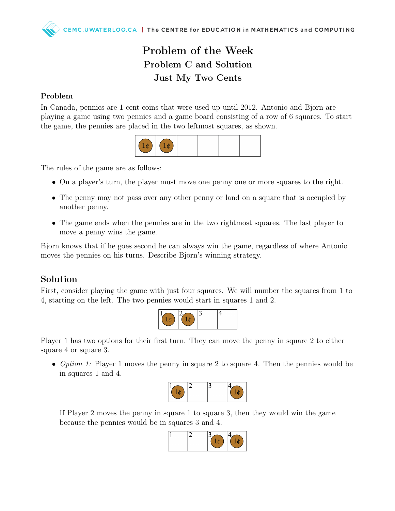## Problem of the Week Problem C and Solution Just My Two Cents

## Problem

In Canada, pennies are 1 cent coins that were used up until 2012. Antonio and Bjorn are playing a game using two pennies and a game board consisting of a row of 6 squares. To start the game, the pennies are placed in the two leftmost squares, as shown.



The rules of the game are as follows:

- On a player's turn, the player must move one penny one or more squares to the right.
- The penny may not pass over any other penny or land on a square that is occupied by another penny.
- The game ends when the pennies are in the two rightmost squares. The last player to move a penny wins the game.

Bjorn knows that if he goes second he can always win the game, regardless of where Antonio moves the pennies on his turns. Describe Bjorn's winning strategy.

## Solution

First, consider playing the game with just four squares. We will number the squares from 1 to 4, starting on the left. The two pennies would start in squares 1 and 2.



Player 1 has two options for their first turn. They can move the penny in square 2 to either square 4 or square 3.

• Option 1: Player 1 moves the penny in square 2 to square 4. Then the pennies would be in squares 1 and 4.



If Player 2 moves the penny in square 1 to square 3, then they would win the game because the pennies would be in squares 3 and 4.